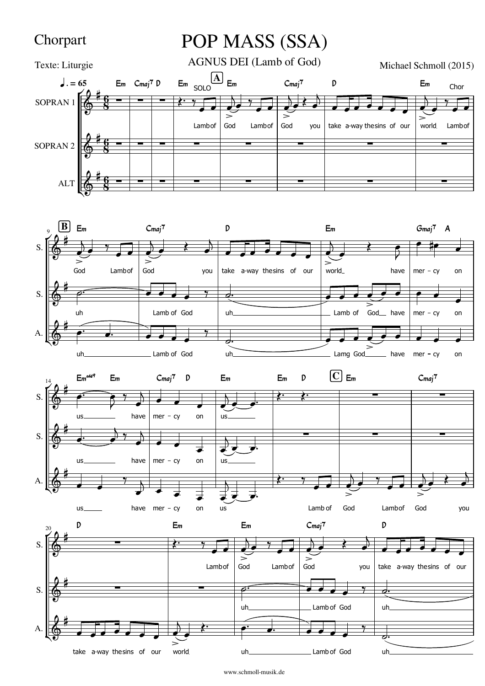## Chorpart

## POP MASS (SSA)



www.schmoll-musik.de

take a-way thesins of our world volume while

Lamb of God uh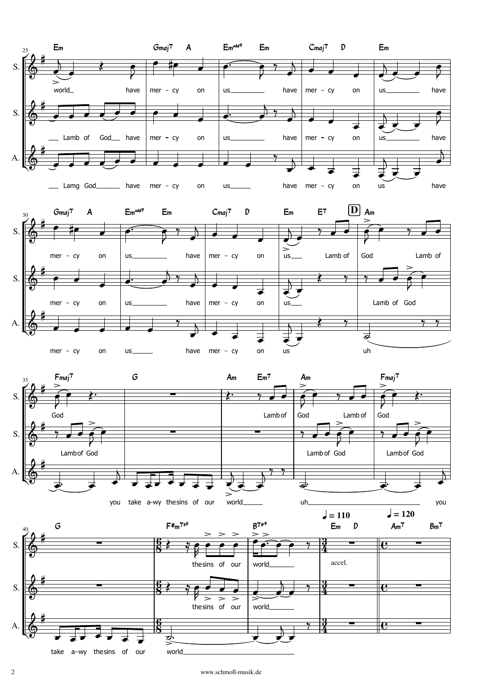

## 2 www.schmoll-musik.de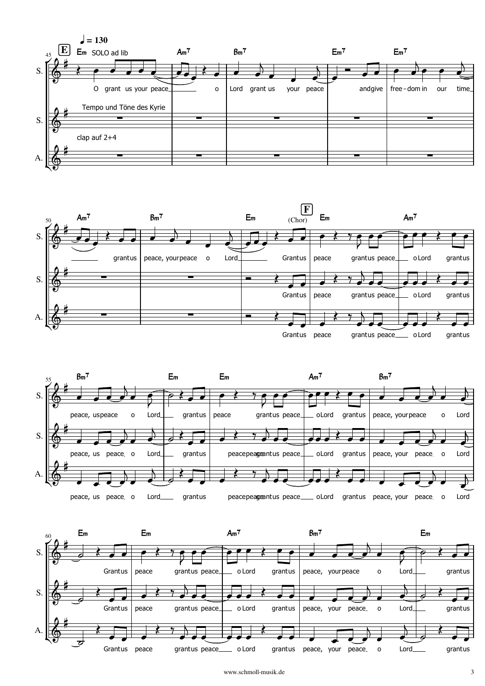